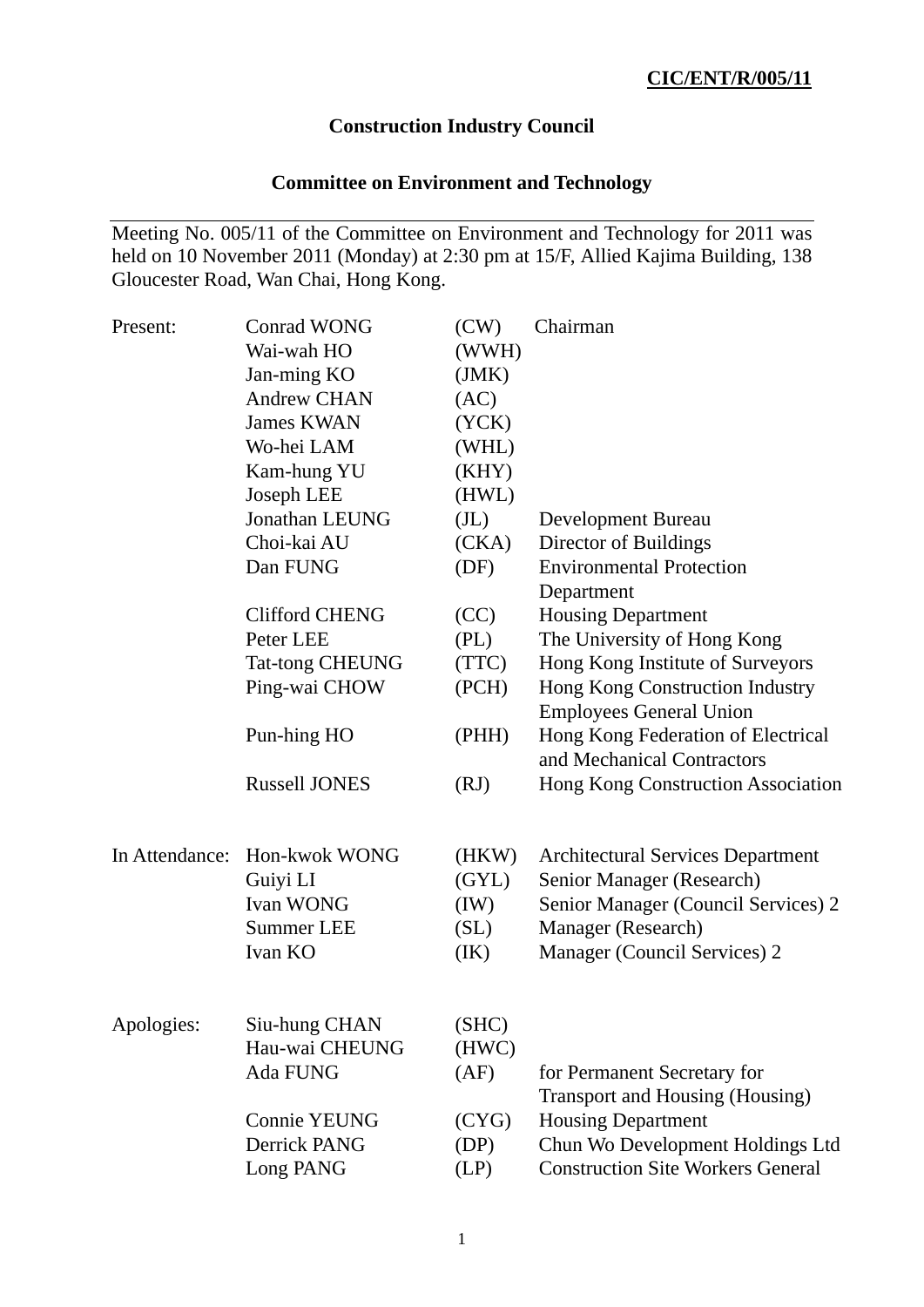# **Construction Industry Council**

# **Committee on Environment and Technology**

Meeting No. 005/11 of the Committee on Environment and Technology for 2011 was held on 10 November 2011 (Monday) at 2:30 pm at 15/F, Allied Kajima Building, 138 Gloucester Road, Wan Chai, Hong Kong.

| Present:       | <b>Conrad WONG</b><br>Wai-wah HO<br>Jan-ming KO<br><b>Andrew CHAN</b><br><b>James KWAN</b><br>Wo-hei LAM<br>Kam-hung YU | (CW)<br>(WWH)<br>(JMK)<br>(AC)<br>(YCK)<br>(WHL)<br>(KHY) | Chairman                                                                                                                                                           |
|----------------|-------------------------------------------------------------------------------------------------------------------------|-----------------------------------------------------------|--------------------------------------------------------------------------------------------------------------------------------------------------------------------|
|                | Joseph LEE                                                                                                              | (HWL)                                                     |                                                                                                                                                                    |
|                | Jonathan LEUNG<br>Choi-kai AU<br>Dan FUNG                                                                               | (J <sub>L</sub> )<br>(CKA)<br>(DF)                        | Development Bureau<br>Director of Buildings<br><b>Environmental Protection</b><br>Department                                                                       |
|                | <b>Clifford CHENG</b><br>Peter LEE<br><b>Tat-tong CHEUNG</b>                                                            | (CC)<br>(PL)<br>(TTC)                                     | <b>Housing Department</b><br>The University of Hong Kong<br>Hong Kong Institute of Surveyors                                                                       |
|                | Ping-wai CHOW                                                                                                           | (PCH)                                                     | Hong Kong Construction Industry<br><b>Employees General Union</b>                                                                                                  |
|                | Pun-hing HO                                                                                                             | (PHH)                                                     | Hong Kong Federation of Electrical<br>and Mechanical Contractors                                                                                                   |
|                | <b>Russell JONES</b>                                                                                                    | (RJ)                                                      | Hong Kong Construction Association                                                                                                                                 |
| In Attendance: | Hon-kwok WONG<br>Guiyi LI<br>Ivan WONG<br><b>Summer LEE</b><br>Ivan KO                                                  | (HKW)<br>(GYL)<br>(IW)<br>(SL)<br>(IK)                    | <b>Architectural Services Department</b><br>Senior Manager (Research)<br>Senior Manager (Council Services) 2<br>Manager (Research)<br>Manager (Council Services) 2 |
| Apologies:     | Siu-hung CHAN<br>Hau-wai CHEUNG<br>Ada FUNG                                                                             | (SHC)<br>(HWC)<br>(AF)                                    | for Permanent Secretary for                                                                                                                                        |
|                | <b>Connie YEUNG</b><br>Derrick PANG<br>Long PANG                                                                        | (CYG)<br>(DP)<br>(LP)                                     | Transport and Housing (Housing)<br><b>Housing Department</b><br>Chun Wo Development Holdings Ltd<br><b>Construction Site Workers General</b>                       |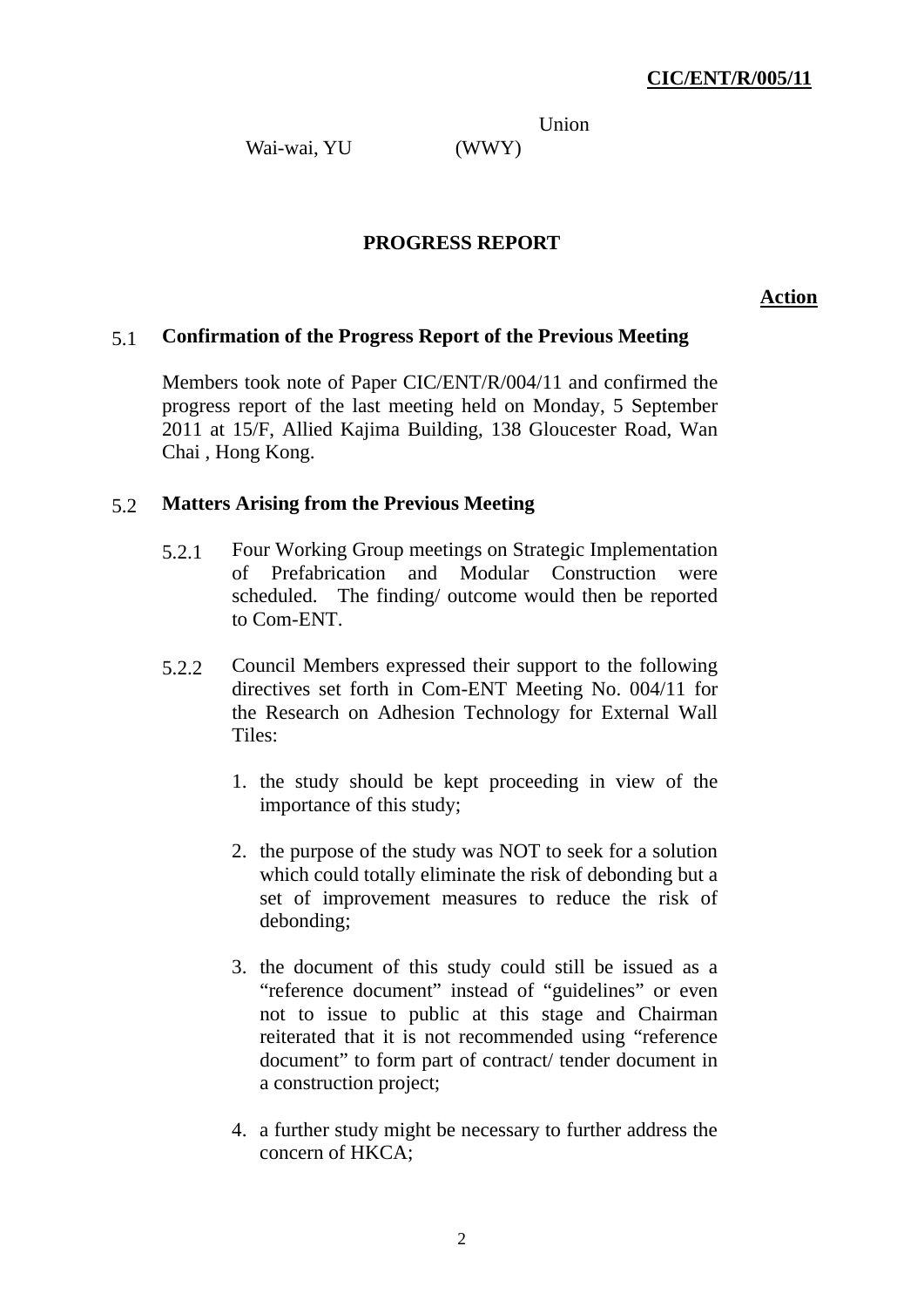Union

Wai-wai, YU (WWY)

## **PROGRESS REPORT**

**Action**

## 5.1 **Confirmation of the Progress Report of the Previous Meeting**

Members took note of Paper CIC/ENT/R/004/11 and confirmed the progress report of the last meeting held on Monday, 5 September 2011 at 15/F, Allied Kajima Building, 138 Gloucester Road, Wan Chai , Hong Kong.

### 5.2 **Matters Arising from the Previous Meeting**

- 5.2.1 Four Working Group meetings on Strategic Implementation of Prefabrication and Modular Construction were scheduled. The finding/ outcome would then be reported to Com-ENT.
- 5.2.2 Council Members expressed their support to the following directives set forth in Com-ENT Meeting No. 004/11 for the Research on Adhesion Technology for External Wall Tiles:
	- 1. the study should be kept proceeding in view of the importance of this study;
	- 2. the purpose of the study was NOT to seek for a solution which could totally eliminate the risk of debonding but a set of improvement measures to reduce the risk of debonding;
	- 3. the document of this study could still be issued as a "reference document" instead of "guidelines" or even not to issue to public at this stage and Chairman reiterated that it is not recommended using "reference document" to form part of contract/ tender document in a construction project;
	- 4. a further study might be necessary to further address the concern of HKCA;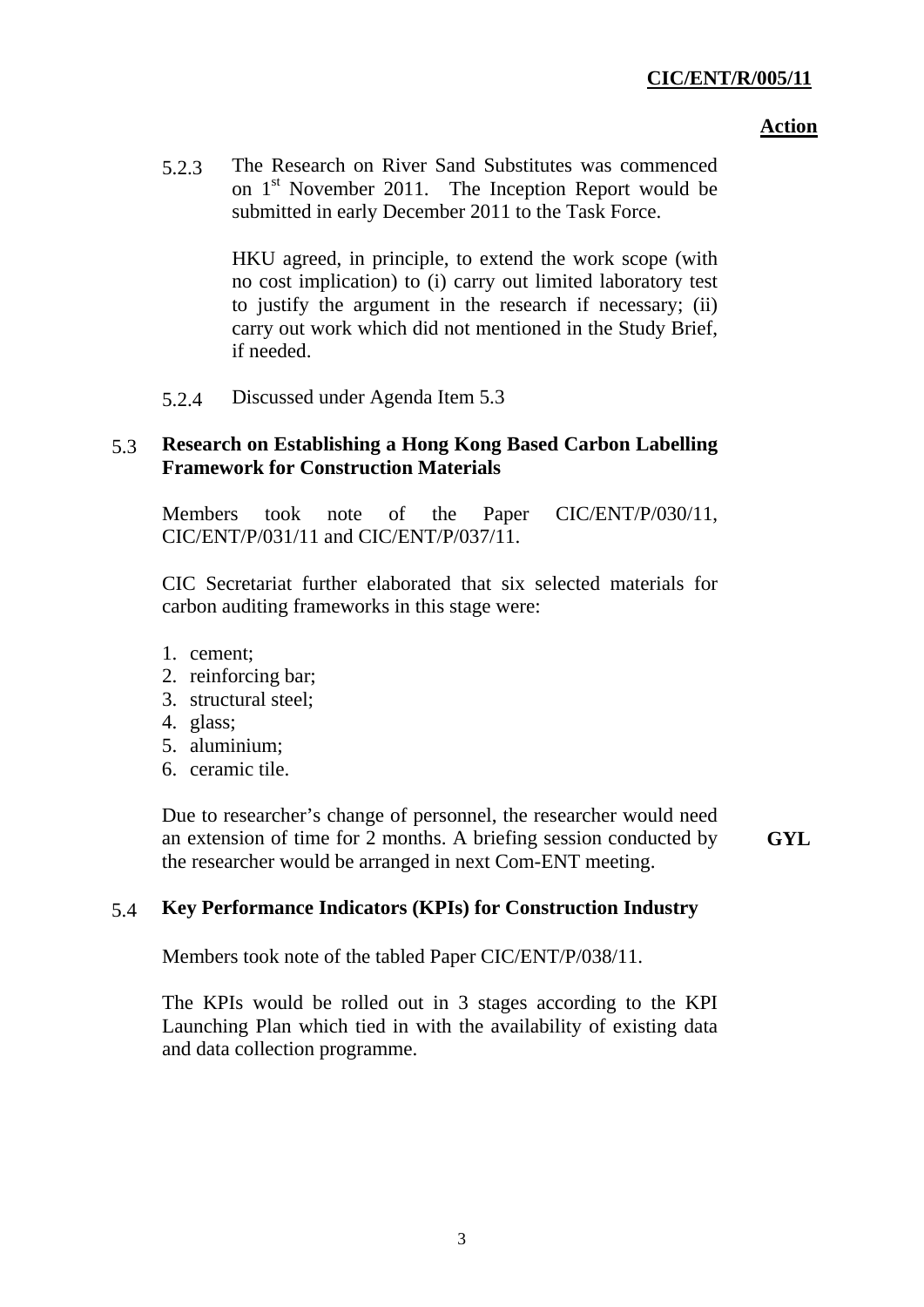5.2.3 The Research on River Sand Substitutes was commenced on 1<sup>st</sup> November 2011. The Inception Report would be submitted in early December 2011 to the Task Force.

> HKU agreed, in principle, to extend the work scope (with no cost implication) to (i) carry out limited laboratory test to justify the argument in the research if necessary; (ii) carry out work which did not mentioned in the Study Brief, if needed.

5.2.4 Discussed under Agenda Item 5.3

## 5.3 **Research on Establishing a Hong Kong Based Carbon Labelling Framework for Construction Materials**

Members took note of the Paper CIC/ENT/P/030/11, CIC/ENT/P/031/11 and CIC/ENT/P/037/11.

CIC Secretariat further elaborated that six selected materials for carbon auditing frameworks in this stage were:

- 1. cement;
- 2. reinforcing bar;
- 3. structural steel;
- 4. glass;
- 5. aluminium;
- 6. ceramic tile.

Due to researcher's change of personnel, the researcher would need an extension of time for 2 months. A briefing session conducted by the researcher would be arranged in next Com-ENT meeting.

**GYL**

## 5.4 **Key Performance Indicators (KPIs) for Construction Industry**

Members took note of the tabled Paper CIC/ENT/P/038/11.

The KPIs would be rolled out in 3 stages according to the KPI Launching Plan which tied in with the availability of existing data and data collection programme.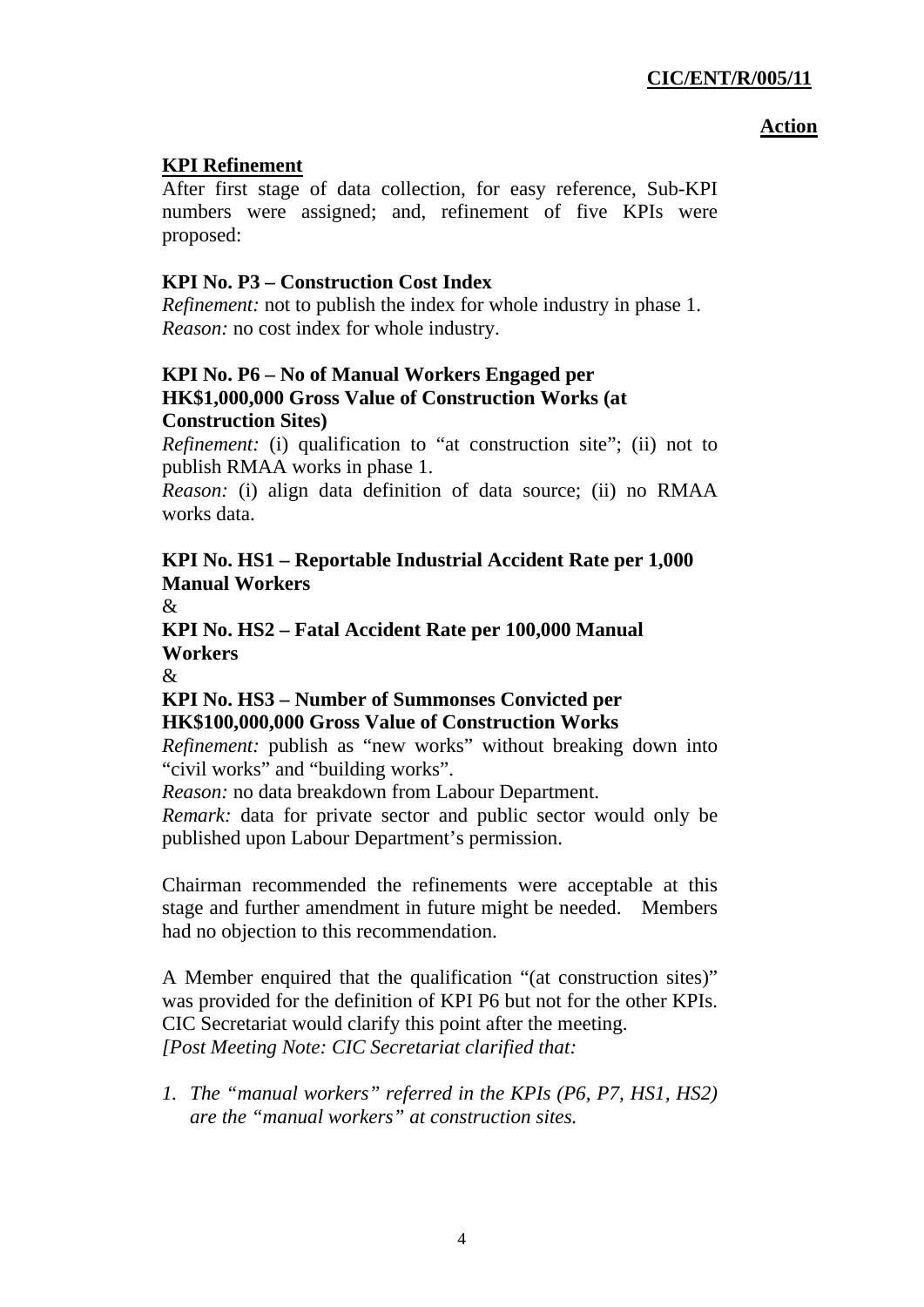## **KPI Refinement**

After first stage of data collection, for easy reference, Sub-KPI numbers were assigned; and, refinement of five KPIs were proposed:

# **KPI No. P3 – Construction Cost Index**

*Refinement:* not to publish the index for whole industry in phase 1. *Reason:* no cost index for whole industry.

## **KPI No. P6 – No of Manual Workers Engaged per HK\$1,000,000 Gross Value of Construction Works (at Construction Sites)**

*Refinement:* (i) qualification to "at construction site"; (ii) not to publish RMAA works in phase 1.

*Reason:* (i) align data definition of data source; (ii) no RMAA works data.

# **KPI No. HS1 – Reportable Industrial Accident Rate per 1,000 Manual Workers**

 $\mathcal{R}$ 

**KPI No. HS2 – Fatal Accident Rate per 100,000 Manual Workers** 

 $\mathcal{R}$ 

## **KPI No. HS3 – Number of Summonses Convicted per HK\$100,000,000 Gross Value of Construction Works**

*Refinement:* publish as "new works" without breaking down into "civil works" and "building works".

*Reason:* no data breakdown from Labour Department.

*Remark:* data for private sector and public sector would only be published upon Labour Department's permission.

Chairman recommended the refinements were acceptable at this stage and further amendment in future might be needed. Members had no objection to this recommendation.

A Member enquired that the qualification "(at construction sites)" was provided for the definition of KPI P6 but not for the other KPIs. CIC Secretariat would clarify this point after the meeting. *[Post Meeting Note: CIC Secretariat clarified that:* 

*1. The "manual workers" referred in the KPIs (P6, P7, HS1, HS2) are the "manual workers" at construction sites.*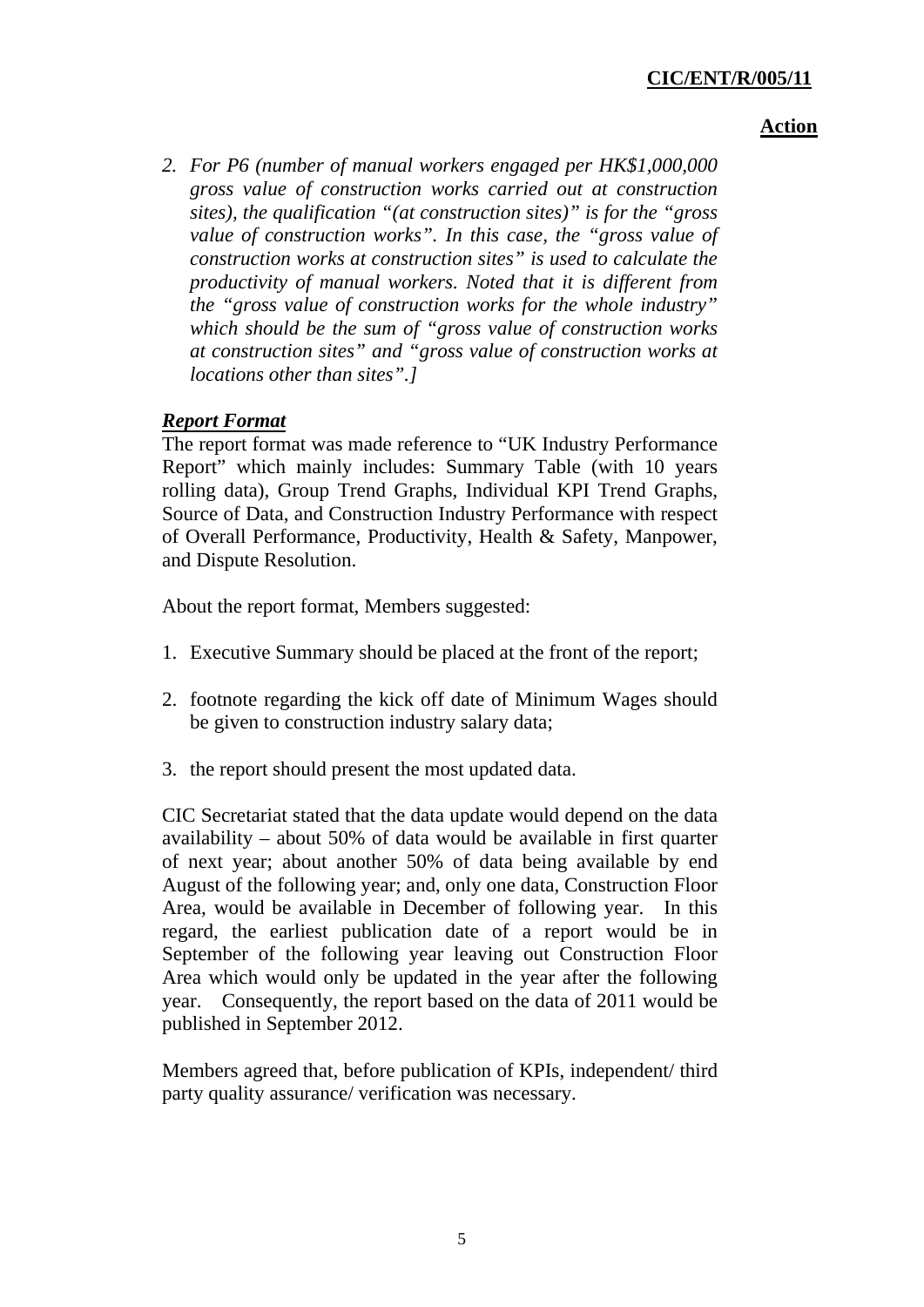## **CIC/ENT/R/005/11**

#### **Action**

*2. For P6 (number of manual workers engaged per HK\$1,000,000 gross value of construction works carried out at construction sites), the qualification "(at construction sites)" is for the "gross value of construction works". In this case, the "gross value of construction works at construction sites" is used to calculate the productivity of manual workers. Noted that it is different from the "gross value of construction works for the whole industry" which should be the sum of "gross value of construction works at construction sites" and "gross value of construction works at locations other than sites".]* 

## *Report Format*

The report format was made reference to "UK Industry Performance Report" which mainly includes: Summary Table (with 10 years rolling data), Group Trend Graphs, Individual KPI Trend Graphs, Source of Data, and Construction Industry Performance with respect of Overall Performance, Productivity, Health & Safety, Manpower, and Dispute Resolution.

About the report format, Members suggested:

- 1. Executive Summary should be placed at the front of the report;
- 2. footnote regarding the kick off date of Minimum Wages should be given to construction industry salary data;
- 3. the report should present the most updated data.

CIC Secretariat stated that the data update would depend on the data availability – about 50% of data would be available in first quarter of next year; about another 50% of data being available by end August of the following year; and, only one data, Construction Floor Area, would be available in December of following year. In this regard, the earliest publication date of a report would be in September of the following year leaving out Construction Floor Area which would only be updated in the year after the following year. Consequently, the report based on the data of 2011 would be published in September 2012.

Members agreed that, before publication of KPIs, independent/ third party quality assurance/ verification was necessary.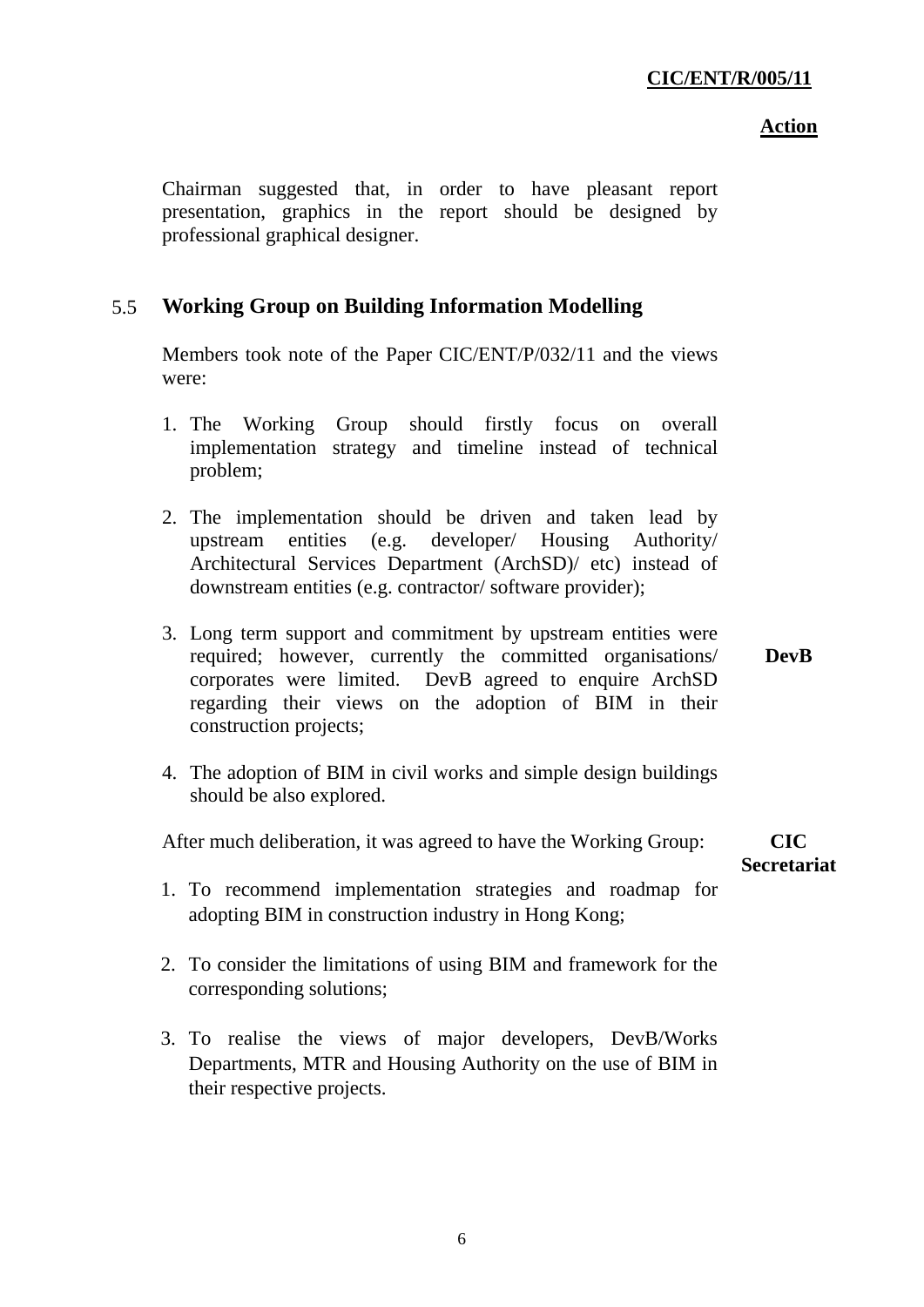Chairman suggested that, in order to have pleasant report presentation, graphics in the report should be designed by professional graphical designer.

## 5.5 **Working Group on Building Information Modelling**

Members took note of the Paper CIC/ENT/P/032/11 and the views were:

- 1. The Working Group should firstly focus on overall implementation strategy and timeline instead of technical problem;
- 2. The implementation should be driven and taken lead by upstream entities (e.g. developer/ Housing Authority/ Architectural Services Department (ArchSD)/ etc) instead of downstream entities (e.g. contractor/ software provider);
- 3. Long term support and commitment by upstream entities were required; however, currently the committed organisations/ corporates were limited. DevB agreed to enquire ArchSD regarding their views on the adoption of BIM in their construction projects; **DevB**
- 4. The adoption of BIM in civil works and simple design buildings should be also explored.

After much deliberation, it was agreed to have the Working Group:

**CIC Secretariat** 

- 1. To recommend implementation strategies and roadmap for adopting BIM in construction industry in Hong Kong;
- 2. To consider the limitations of using BIM and framework for the corresponding solutions;
- 3. To realise the views of major developers, DevB/Works Departments, MTR and Housing Authority on the use of BIM in their respective projects.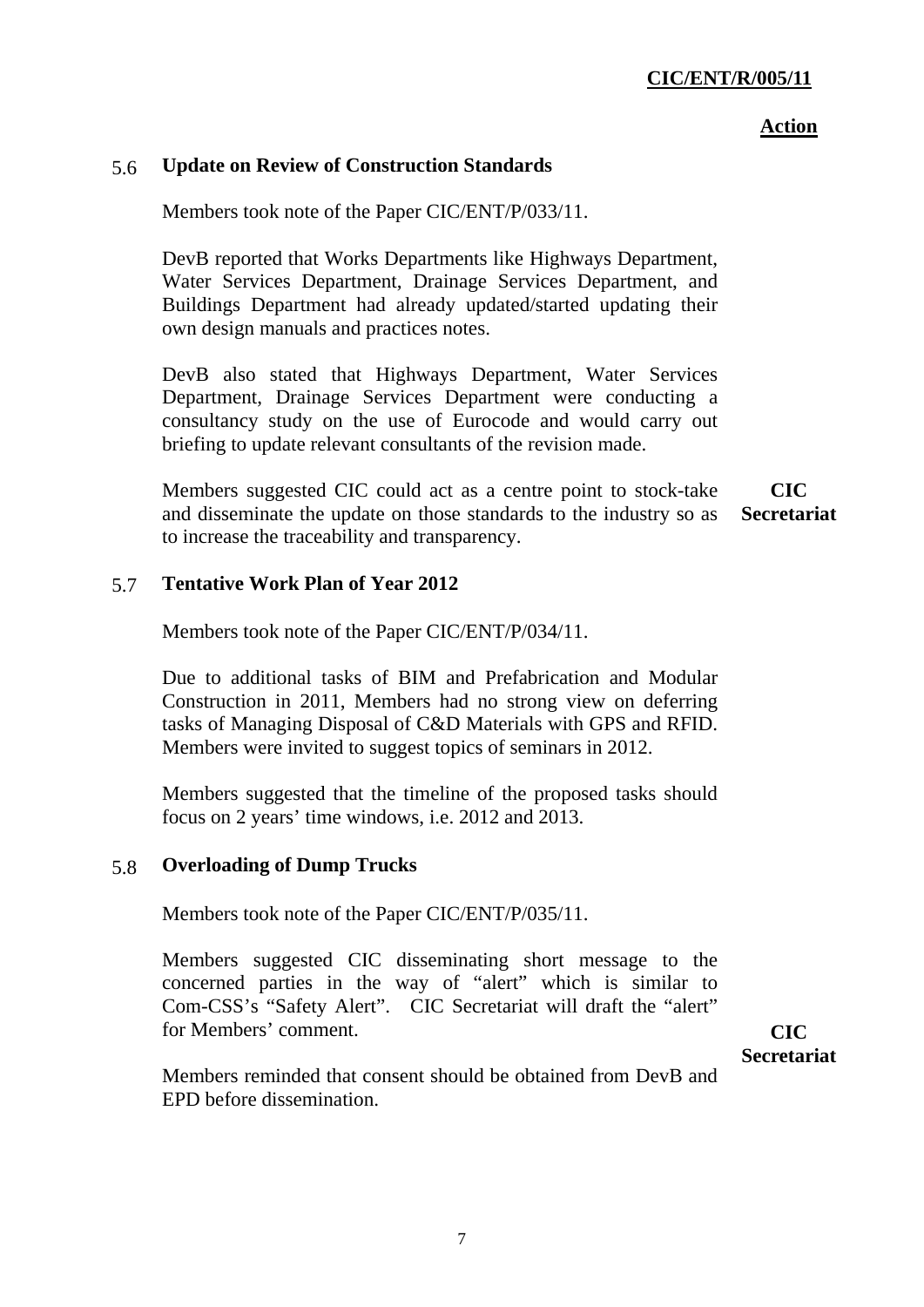### 5.6 **Update on Review of Construction Standards**

Members took note of the Paper CIC/ENT/P/033/11.

DevB reported that Works Departments like Highways Department, Water Services Department, Drainage Services Department, and Buildings Department had already updated/started updating their own design manuals and practices notes.

DevB also stated that Highways Department, Water Services Department, Drainage Services Department were conducting a consultancy study on the use of Eurocode and would carry out briefing to update relevant consultants of the revision made.

Members suggested CIC could act as a centre point to stock-take and disseminate the update on those standards to the industry so as to increase the traceability and transparency. **CIC Secretariat** 

### 5.7 **Tentative Work Plan of Year 2012**

Members took note of the Paper CIC/ENT/P/034/11.

Due to additional tasks of BIM and Prefabrication and Modular Construction in 2011, Members had no strong view on deferring tasks of Managing Disposal of C&D Materials with GPS and RFID. Members were invited to suggest topics of seminars in 2012.

Members suggested that the timeline of the proposed tasks should focus on 2 years' time windows, i.e. 2012 and 2013.

#### 5.8 **Overloading of Dump Trucks**

Members took note of the Paper CIC/ENT/P/035/11.

Members suggested CIC disseminating short message to the concerned parties in the way of "alert" which is similar to Com-CSS's "Safety Alert". CIC Secretariat will draft the "alert" for Members' comment.

**CIC Secretariat**

Members reminded that consent should be obtained from DevB and EPD before dissemination.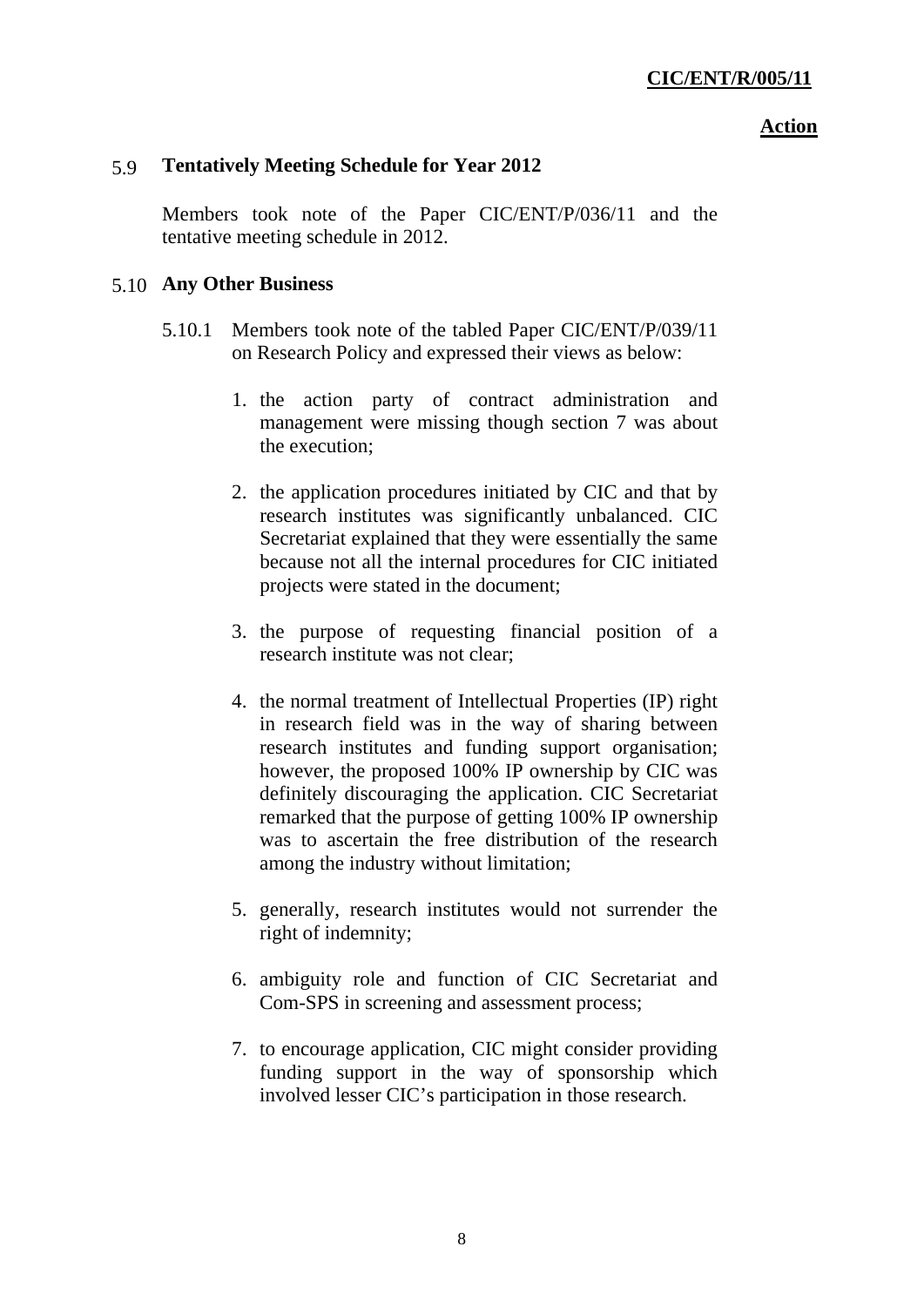### 5.9 **Tentatively Meeting Schedule for Year 2012**

Members took note of the Paper CIC/ENT/P/036/11 and the tentative meeting schedule in 2012.

#### 5.10 **Any Other Business**

- 5.10.1 Members took note of the tabled Paper CIC/ENT/P/039/11 on Research Policy and expressed their views as below:
	- 1. the action party of contract administration and management were missing though section 7 was about the execution;
	- 2. the application procedures initiated by CIC and that by research institutes was significantly unbalanced. CIC Secretariat explained that they were essentially the same because not all the internal procedures for CIC initiated projects were stated in the document;
	- 3. the purpose of requesting financial position of a research institute was not clear;
	- 4. the normal treatment of Intellectual Properties (IP) right in research field was in the way of sharing between research institutes and funding support organisation; however, the proposed 100% IP ownership by CIC was definitely discouraging the application. CIC Secretariat remarked that the purpose of getting 100% IP ownership was to ascertain the free distribution of the research among the industry without limitation;
	- 5. generally, research institutes would not surrender the right of indemnity;
	- 6. ambiguity role and function of CIC Secretariat and Com-SPS in screening and assessment process;
	- 7. to encourage application, CIC might consider providing funding support in the way of sponsorship which involved lesser CIC's participation in those research.